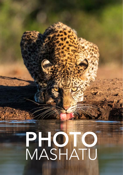# PHOTO MASHATU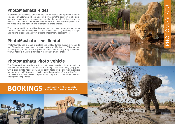# PHOTOMASHATUOMASHATI

## **PhotoMashatu Hides**

PhotoMashatu conceived and built the first dedicated underground photogra phy hides in Botswana. These hides quickly caught the attention of photogra phers worldwide due to the unique perspective they provide. Intimate encoun ters with iconic animals like elephant are frequent and the images captured from the hides have won national and international photo awards.

The underground hide provides the opportunity to have, amongst many other species, elephants drinking within a few meters from you, providing a unique and thrilling experience and very exciting photography opportunities.

### **PhotoMashatu Lens Rental**

PhotoMashatu has a range of professional wildlife lenses available for you to rent. These lenses have been chosen to suit the wildlife viewing of Mashatu and will add greatly to your safari experience whilst here. Once you try a lens out, you will notice a massive difference in the quality of your images.

### **PhotoMashatu Photo Vehicle**

The PhotoMashatu vehicle is a fully customized vehicle built exclusively for Mashatu Game Reserve. The vehicle is a totally customized design, equipped with sliding gimble heads allowing for comfortable, quick and well supported photography in a 270 degree radius for each photographer. Our vehicle offers all the perks of a private vehicle, coupled with a unique, top of the range, personal photographic experience.

# Please speak to a **PhotoMashatu BOOKINGS staff** member or **contact reception**

staff member or contact reception.